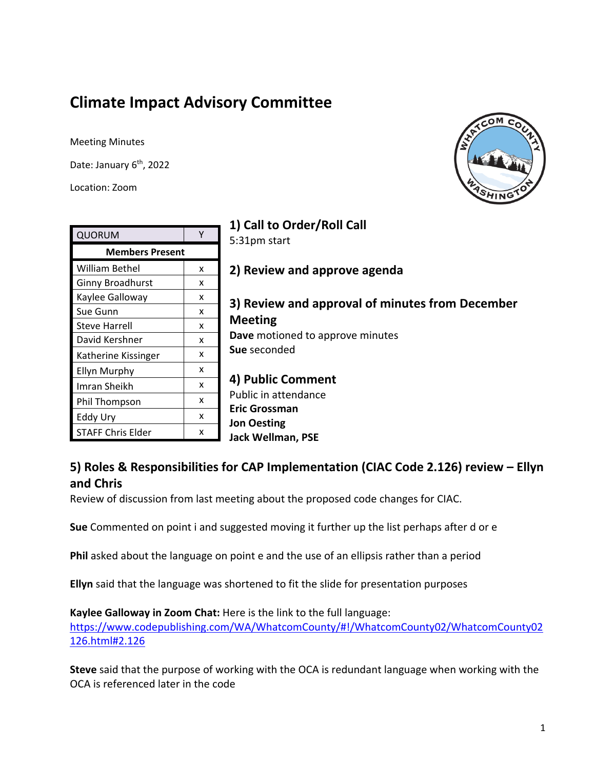# **Climate Impact Advisory Committee**

Meeting Minutes

Date: January 6<sup>th</sup>, 2022

Location: Zoom



| 1) Call to Order/Roll Call |   |                                                                                                       |
|----------------------------|---|-------------------------------------------------------------------------------------------------------|
| <b>QUORUM</b>              | Υ | 5:31pm start                                                                                          |
| <b>Members Present</b>     |   |                                                                                                       |
| William Bethel             | x | 2) Review and approve agenda                                                                          |
| Ginny Broadhurst           | x |                                                                                                       |
| Kaylee Galloway            | x | 3) Review and approval of minutes from December<br><b>Meeting</b><br>Dave motioned to approve minutes |
| Sue Gunn                   | x |                                                                                                       |
| <b>Steve Harrell</b>       | x |                                                                                                       |
| David Kershner             | X |                                                                                                       |
| Katherine Kissinger        | X | Sue seconded                                                                                          |
| <b>Ellyn Murphy</b>        | x | 4) Public Comment<br>Public in attendance<br><b>Eric Grossman</b>                                     |
| Imran Sheikh               | x |                                                                                                       |
| Phil Thompson              | x |                                                                                                       |
| Eddy Ury                   | x | <b>Jon Oesting</b>                                                                                    |
| <b>STAFF Chris Elder</b>   | x | <b>Jack Wellman, PSE</b>                                                                              |
|                            |   |                                                                                                       |

# **5) Roles & Responsibilities for CAP Implementation (CIAC Code 2.126) review – Ellyn and Chris**

Review of discussion from last meeting about the proposed code changes for CIAC.

**Sue** Commented on point i and suggested moving it further up the list perhaps after d or e

**Phil** asked about the language on point e and the use of an ellipsis rather than a period

**Ellyn** said that the language was shortened to fit the slide for presentation purposes

**Kaylee Galloway in Zoom Chat:** Here is the link to the full language: [https://www.codepublishing.com/WA/WhatcomCounty/#!/WhatcomCounty02/WhatcomCounty02](https://www.codepublishing.com/WA/WhatcomCounty/#!/WhatcomCounty02/WhatcomCounty02126.html#2.126) [126.html#2.126](https://www.codepublishing.com/WA/WhatcomCounty/#!/WhatcomCounty02/WhatcomCounty02126.html#2.126)

**Steve** said that the purpose of working with the OCA is redundant language when working with the OCA is referenced later in the code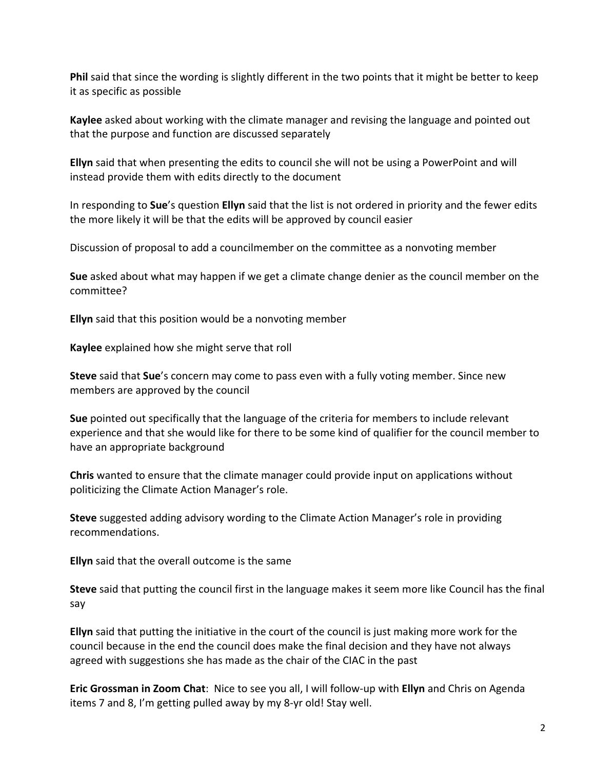**Phil** said that since the wording is slightly different in the two points that it might be better to keep it as specific as possible

**Kaylee** asked about working with the climate manager and revising the language and pointed out that the purpose and function are discussed separately

**Ellyn** said that when presenting the edits to council she will not be using a PowerPoint and will instead provide them with edits directly to the document

In responding to **Sue**'s question **Ellyn** said that the list is not ordered in priority and the fewer edits the more likely it will be that the edits will be approved by council easier

Discussion of proposal to add a councilmember on the committee as a nonvoting member

**Sue** asked about what may happen if we get a climate change denier as the council member on the committee?

**Ellyn** said that this position would be a nonvoting member

**Kaylee** explained how she might serve that roll

**Steve** said that **Sue**'s concern may come to pass even with a fully voting member. Since new members are approved by the council

**Sue** pointed out specifically that the language of the criteria for members to include relevant experience and that she would like for there to be some kind of qualifier for the council member to have an appropriate background

**Chris** wanted to ensure that the climate manager could provide input on applications without politicizing the Climate Action Manager's role.

**Steve** suggested adding advisory wording to the Climate Action Manager's role in providing recommendations.

**Ellyn** said that the overall outcome is the same

**Steve** said that putting the council first in the language makes it seem more like Council has the final say

**Ellyn** said that putting the initiative in the court of the council is just making more work for the council because in the end the council does make the final decision and they have not always agreed with suggestions she has made as the chair of the CIAC in the past

**Eric Grossman in Zoom Chat**: Nice to see you all, I will follow-up with **Ellyn** and Chris on Agenda items 7 and 8, I'm getting pulled away by my 8-yr old! Stay well.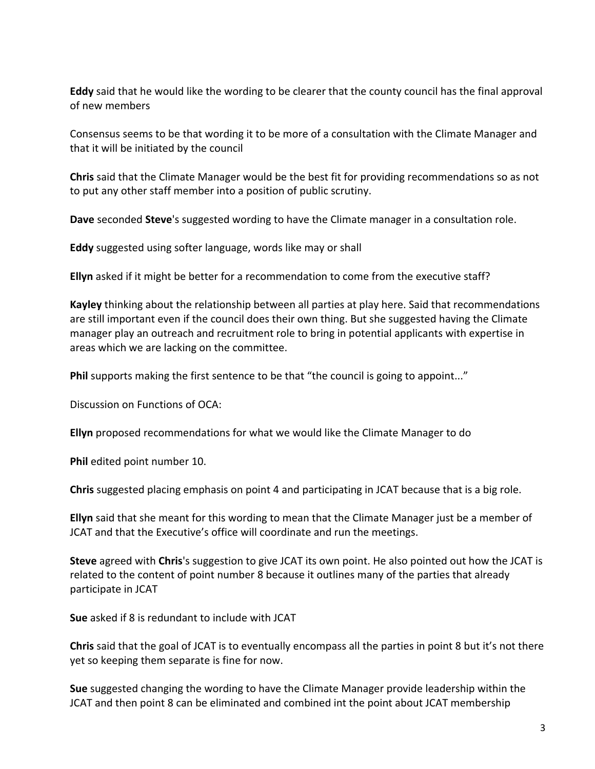**Eddy** said that he would like the wording to be clearer that the county council has the final approval of new members

Consensus seems to be that wording it to be more of a consultation with the Climate Manager and that it will be initiated by the council

**Chris** said that the Climate Manager would be the best fit for providing recommendations so as not to put any other staff member into a position of public scrutiny.

**Dave** seconded **Steve**'s suggested wording to have the Climate manager in a consultation role.

**Eddy** suggested using softer language, words like may or shall

**Ellyn** asked if it might be better for a recommendation to come from the executive staff?

**Kayley** thinking about the relationship between all parties at play here. Said that recommendations are still important even if the council does their own thing. But she suggested having the Climate manager play an outreach and recruitment role to bring in potential applicants with expertise in areas which we are lacking on the committee.

**Phil** supports making the first sentence to be that "the council is going to appoint..."

Discussion on Functions of OCA:

**Ellyn** proposed recommendations for what we would like the Climate Manager to do

**Phil** edited point number 10.

**Chris** suggested placing emphasis on point 4 and participating in JCAT because that is a big role.

**Ellyn** said that she meant for this wording to mean that the Climate Manager just be a member of JCAT and that the Executive's office will coordinate and run the meetings.

**Steve** agreed with **Chris**'s suggestion to give JCAT its own point. He also pointed out how the JCAT is related to the content of point number 8 because it outlines many of the parties that already participate in JCAT

**Sue** asked if 8 is redundant to include with JCAT

**Chris** said that the goal of JCAT is to eventually encompass all the parties in point 8 but it's not there yet so keeping them separate is fine for now.

**Sue** suggested changing the wording to have the Climate Manager provide leadership within the JCAT and then point 8 can be eliminated and combined int the point about JCAT membership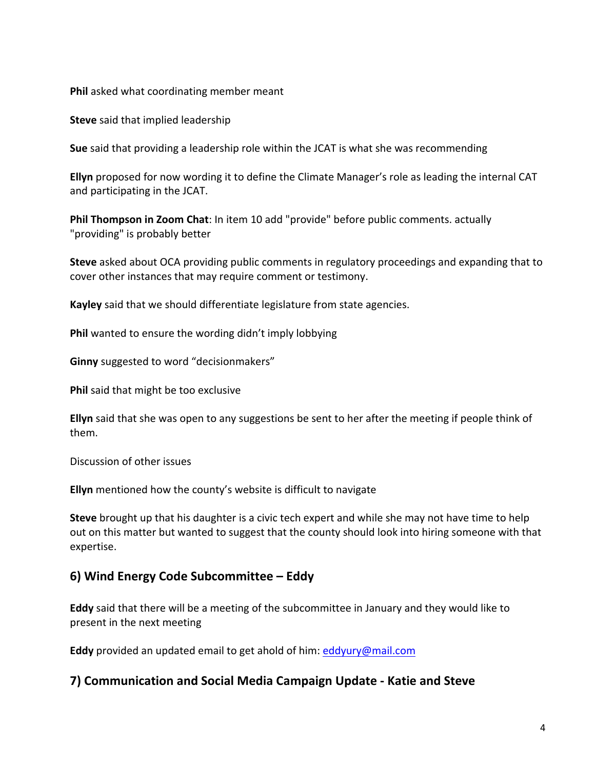**Phil** asked what coordinating member meant

**Steve** said that implied leadership

**Sue** said that providing a leadership role within the JCAT is what she was recommending

**Ellyn** proposed for now wording it to define the Climate Manager's role as leading the internal CAT and participating in the JCAT.

**Phil Thompson in Zoom Chat**: In item 10 add "provide" before public comments. actually "providing" is probably better

**Steve** asked about OCA providing public comments in regulatory proceedings and expanding that to cover other instances that may require comment or testimony.

**Kayley** said that we should differentiate legislature from state agencies.

**Phil** wanted to ensure the wording didn't imply lobbying

**Ginny** suggested to word "decisionmakers"

**Phil** said that might be too exclusive

**Ellyn** said that she was open to any suggestions be sent to her after the meeting if people think of them.

Discussion of other issues

**Ellyn** mentioned how the county's website is difficult to navigate

**Steve** brought up that his daughter is a civic tech expert and while she may not have time to help out on this matter but wanted to suggest that the county should look into hiring someone with that expertise.

### **6) Wind Energy Code Subcommittee – Eddy**

**Eddy** said that there will be a meeting of the subcommittee in January and they would like to present in the next meeting

**Eddy** provided an updated email to get ahold of him: [eddyury@mail.com](mailto:eddyury@mail.com)

#### **7) Communication and Social Media Campaign Update - Katie and Steve**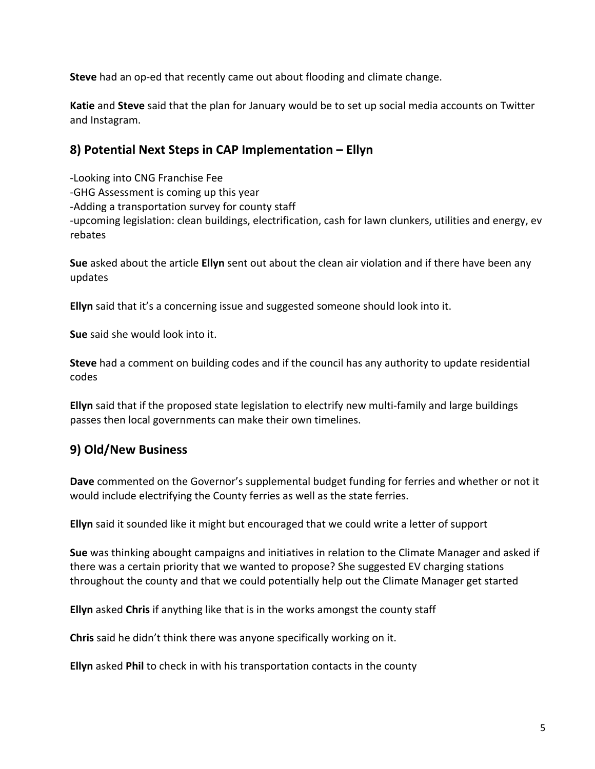**Steve** had an op-ed that recently came out about flooding and climate change.

**Katie** and **Steve** said that the plan for January would be to set up social media accounts on Twitter and Instagram.

## **8) Potential Next Steps in CAP Implementation – Ellyn**

-Looking into CNG Franchise Fee -GHG Assessment is coming up this year -Adding a transportation survey for county staff -upcoming legislation: clean buildings, electrification, cash for lawn clunkers, utilities and energy, ev rebates

**Sue** asked about the article **Ellyn** sent out about the clean air violation and if there have been any updates

**Ellyn** said that it's a concerning issue and suggested someone should look into it.

**Sue** said she would look into it.

**Steve** had a comment on building codes and if the council has any authority to update residential codes

**Ellyn** said that if the proposed state legislation to electrify new multi-family and large buildings passes then local governments can make their own timelines.

## **9) Old/New Business**

**Dave** commented on the Governor's supplemental budget funding for ferries and whether or not it would include electrifying the County ferries as well as the state ferries.

**Ellyn** said it sounded like it might but encouraged that we could write a letter of support

**Sue** was thinking abought campaigns and initiatives in relation to the Climate Manager and asked if there was a certain priority that we wanted to propose? She suggested EV charging stations throughout the county and that we could potentially help out the Climate Manager get started

**Ellyn** asked **Chris** if anything like that is in the works amongst the county staff

**Chris** said he didn't think there was anyone specifically working on it.

**Ellyn** asked **Phil** to check in with his transportation contacts in the county